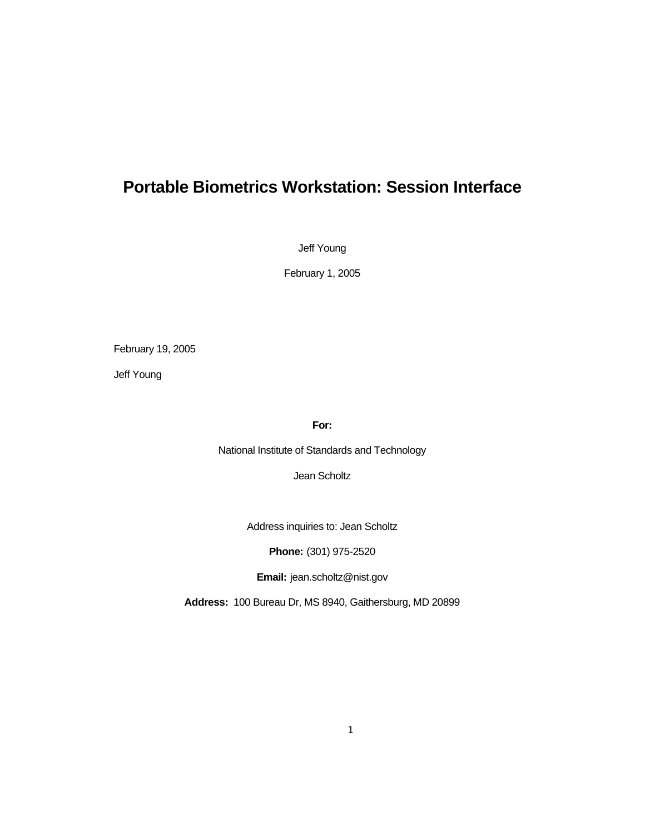# **Portable Biometrics Workstation: Session Interface**

Jeff Young

February 1, 2005

February 19, 2005

Jeff Young

**For:** 

National Institute of Standards and Technology

Jean Scholtz

Address inquiries to: Jean Scholtz

**Phone:** (301) 975-2520

**Email:** [jean.scholtz@nist.gov](mailto:jean.scholtz@nist.gov)

**Address:** 100 Bureau Dr, MS 8940, Gaithersburg, MD 20899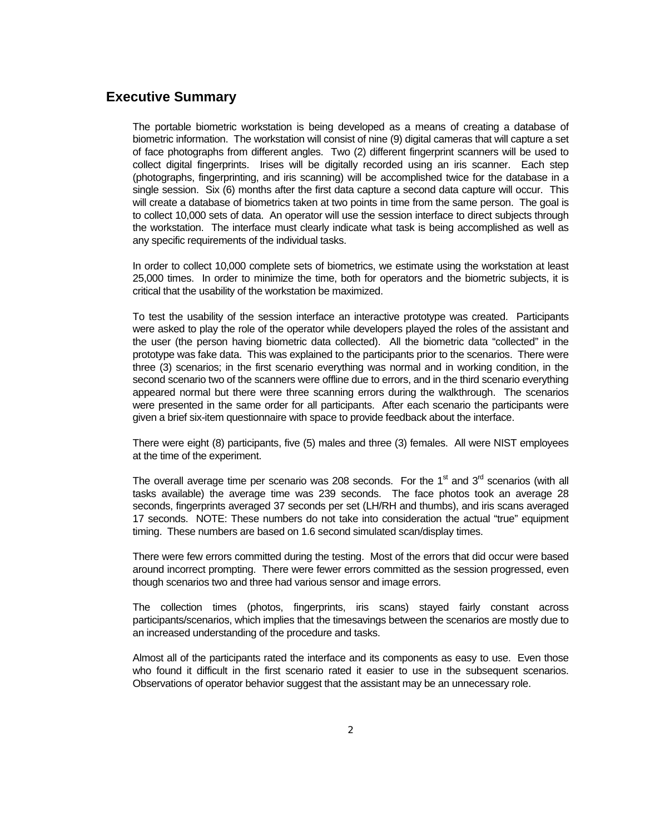#### **Executive Summary**

The portable biometric workstation is being developed as a means of creating a database of biometric information. The workstation will consist of nine (9) digital cameras that will capture a set of face photographs from different angles. Two (2) different fingerprint scanners will be used to collect digital fingerprints. Irises will be digitally recorded using an iris scanner. Each step (photographs, fingerprinting, and iris scanning) will be accomplished twice for the database in a single session. Six (6) months after the first data capture a second data capture will occur. This will create a database of biometrics taken at two points in time from the same person. The goal is to collect 10,000 sets of data. An operator will use the session interface to direct subjects through the workstation. The interface must clearly indicate what task is being accomplished as well as any specific requirements of the individual tasks.

In order to collect 10,000 complete sets of biometrics, we estimate using the workstation at least 25,000 times. In order to minimize the time, both for operators and the biometric subjects, it is critical that the usability of the workstation be maximized.

To test the usability of the session interface an interactive prototype was created. Participants were asked to play the role of the operator while developers played the roles of the assistant and the user (the person having biometric data collected). All the biometric data "collected" in the prototype was fake data. This was explained to the participants prior to the scenarios. There were three (3) scenarios; in the first scenario everything was normal and in working condition, in the second scenario two of the scanners were offline due to errors, and in the third scenario everything appeared normal but there were three scanning errors during the walkthrough. The scenarios were presented in the same order for all participants. After each scenario the participants were given a brief six-item questionnaire with space to provide feedback about the interface.

There were eight (8) participants, five (5) males and three (3) females. All were NIST employees at the time of the experiment.

The overall average time per scenario was 208 seconds. For the  $1<sup>st</sup>$  and  $3<sup>rd</sup>$  scenarios (with all tasks available) the average time was 239 seconds. The face photos took an average 28 seconds, fingerprints averaged 37 seconds per set (LH/RH and thumbs), and iris scans averaged 17 seconds. NOTE: These numbers do not take into consideration the actual "true" equipment timing. These numbers are based on 1.6 second simulated scan/display times.

There were few errors committed during the testing. Most of the errors that did occur were based around incorrect prompting. There were fewer errors committed as the session progressed, even though scenarios two and three had various sensor and image errors.

The collection times (photos, fingerprints, iris scans) stayed fairly constant across participants/scenarios, which implies that the timesavings between the scenarios are mostly due to an increased understanding of the procedure and tasks.

Almost all of the participants rated the interface and its components as easy to use. Even those who found it difficult in the first scenario rated it easier to use in the subsequent scenarios. Observations of operator behavior suggest that the assistant may be an unnecessary role.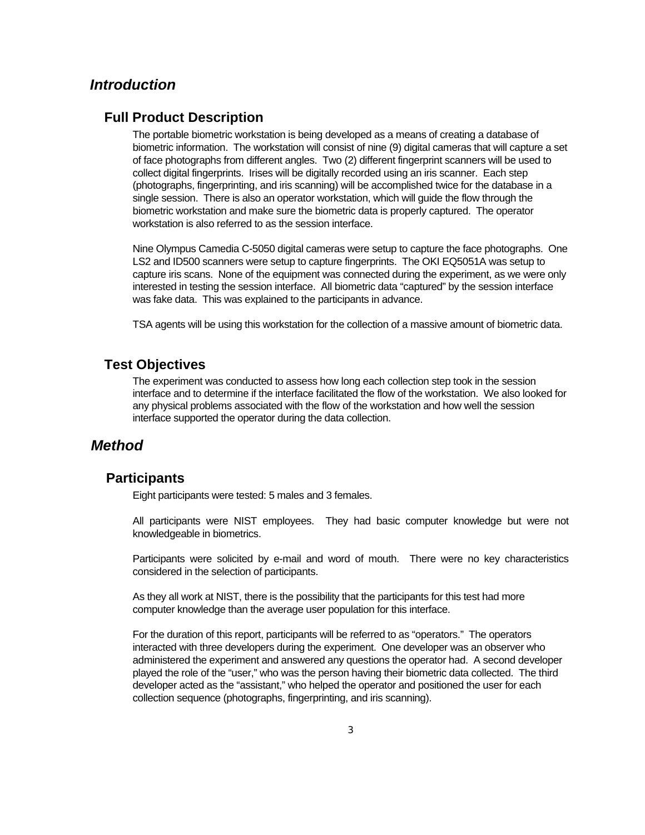## *Introduction*

#### **Full Product Description**

The portable biometric workstation is being developed as a means of creating a database of biometric information. The workstation will consist of nine (9) digital cameras that will capture a set of face photographs from different angles. Two (2) different fingerprint scanners will be used to collect digital fingerprints. Irises will be digitally recorded using an iris scanner. Each step (photographs, fingerprinting, and iris scanning) will be accomplished twice for the database in a single session. There is also an operator workstation, which will guide the flow through the biometric workstation and make sure the biometric data is properly captured. The operator workstation is also referred to as the session interface.

Nine Olympus Camedia C-5050 digital cameras were setup to capture the face photographs. One LS2 and ID500 scanners were setup to capture fingerprints. The OKI EQ5051A was setup to capture iris scans. None of the equipment was connected during the experiment, as we were only interested in testing the session interface. All biometric data "captured" by the session interface was fake data. This was explained to the participants in advance.

TSA agents will be using this workstation for the collection of a massive amount of biometric data.

#### **Test Objectives**

The experiment was conducted to assess how long each collection step took in the session interface and to determine if the interface facilitated the flow of the workstation. We also looked for any physical problems associated with the flow of the workstation and how well the session interface supported the operator during the data collection.

#### *Method*

## **Participants**

Eight participants were tested: 5 males and 3 females.

All participants were NIST employees. They had basic computer knowledge but were not knowledgeable in biometrics.

 Participants were solicited by e-mail and word of mouth. There were no key characteristics considered in the selection of participants.

As they all work at NIST, there is the possibility that the participants for this test had more computer knowledge than the average user population for this interface.

For the duration of this report, participants will be referred to as "operators." The operators interacted with three developers during the experiment. One developer was an observer who administered the experiment and answered any questions the operator had. A second developer played the role of the "user," who was the person having their biometric data collected. The third developer acted as the "assistant," who helped the operator and positioned the user for each collection sequence (photographs, fingerprinting, and iris scanning).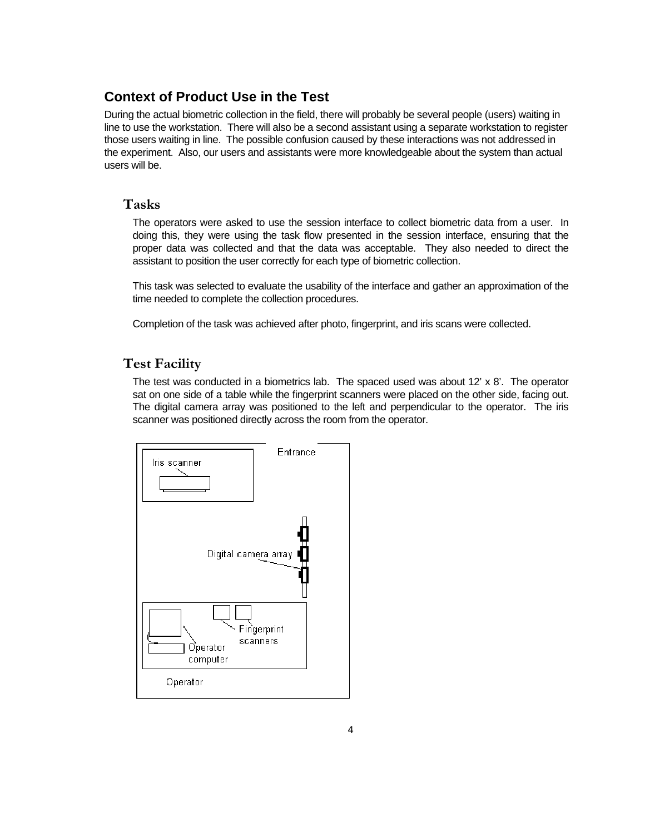## **Context of Product Use in the Test**

During the actual biometric collection in the field, there will probably be several people (users) waiting in line to use the workstation. There will also be a second assistant using a separate workstation to register those users waiting in line. The possible confusion caused by these interactions was not addressed in the experiment. Also, our users and assistants were more knowledgeable about the system than actual users will be.

## **Tasks**

The operators were asked to use the session interface to collect biometric data from a user. In doing this, they were using the task flow presented in the session interface, ensuring that the proper data was collected and that the data was acceptable. They also needed to direct the assistant to position the user correctly for each type of biometric collection.

This task was selected to evaluate the usability of the interface and gather an approximation of the time needed to complete the collection procedures.

Completion of the task was achieved after photo, fingerprint, and iris scans were collected.

# **Test Facility**

The test was conducted in a biometrics lab. The spaced used was about 12' x 8'. The operator sat on one side of a table while the fingerprint scanners were placed on the other side, facing out. The digital camera array was positioned to the left and perpendicular to the operator. The iris scanner was positioned directly across the room from the operator.

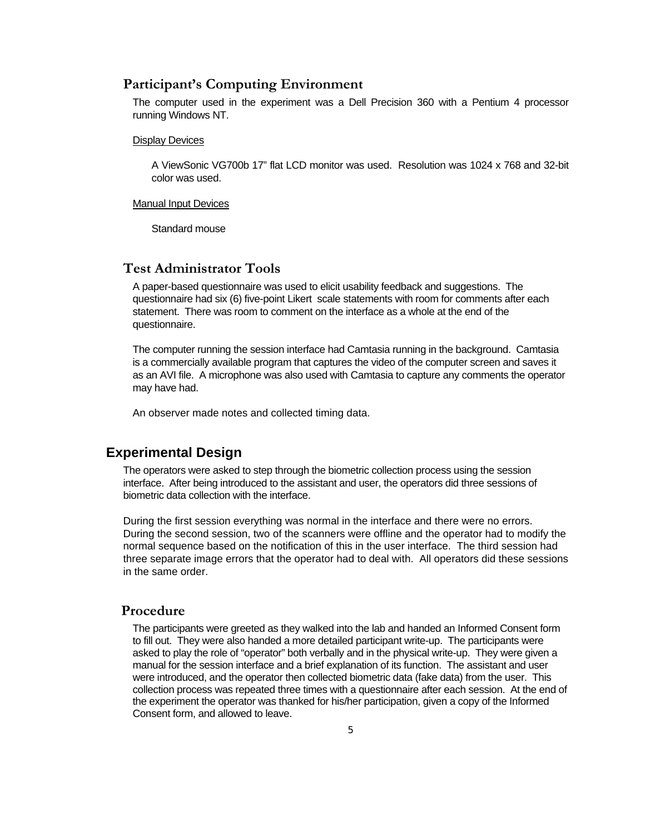#### **Participant's Computing Environment**

The computer used in the experiment was a Dell Precision 360 with a Pentium 4 processor running Windows NT.

#### Display Devices

A ViewSonic VG700b 17" flat LCD monitor was used. Resolution was 1024 x 768 and 32-bit color was used.

# Manual Input Devices<br>Standard mouse

### **Test Administrator Tools**

A paper-based questionnaire was used to elicit usability feedback and suggestions. The questionnaire had six (6) five-point Likert scale statements with room for comments after each statement. There was room to comment on the interface as a whole at the end of the questionnaire.

may have had. The computer running the session interface had Camtasia running in the background. Camtasia is a commercially available program that captures the video of the computer screen and saves it as an AVI file. A microphone was also used with Camtasia to capture any comments the operator

An observer made notes and collected timing data.

#### **Experimental Design**

The operators were asked to step through the biometric collection process using the session interface. After being introduced to the assistant and user, the operators did three sessions of biometric data collection with the interface.

During the first session everything was normal in the interface and there were no errors. During the second session, two of the scanners were offline and the operator had to modify the normal sequence based on the notification of this in the user interface. The third session had three separate image errors that the operator had to deal with. All operators did these sessions in the same order.

## **Procedure**

The participants were greeted as they walked into the lab and handed an Informed Consent form to fill out. They were also handed a more detailed participant write-up. The participants were asked to play the role of "operator" both verbally and in the physical write-up. They were given a manual for the session interface and a brief explanation of its function. The assistant and user were introduced, and the operator then collected biometric data (fake data) from the user. This collection process was repeated three times with a questionnaire after each session. At the end of the experiment the operator was thanked for his/her participation, given a copy of the Informed Consent form, and allowed to leave.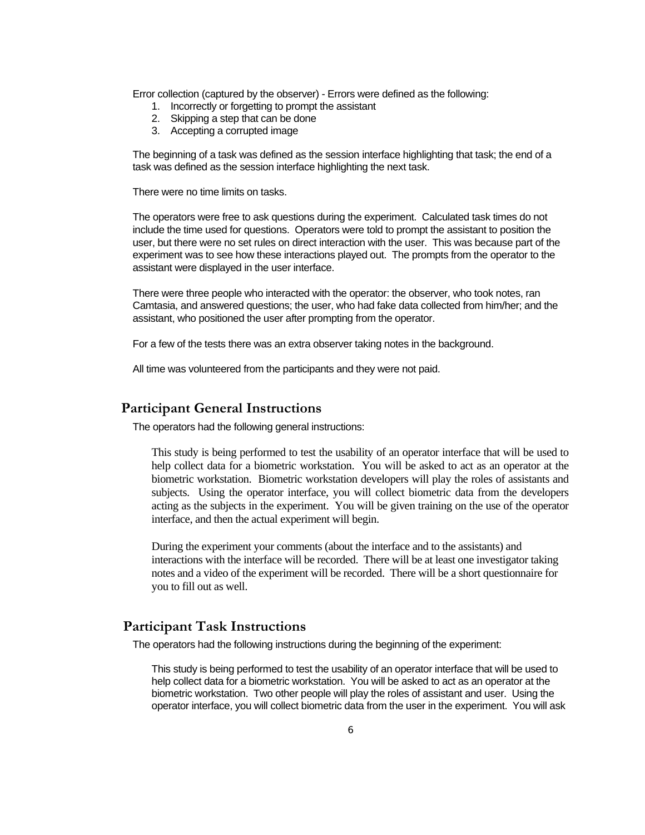Error collection (captured by the observer) - Errors were defined as the following:

- 1. Incorrectly or forgetting to prompt the assistant
- 2. Skipping a step that can be done
- 3. Accepting a corrupted image

The beginning of a task was defined as the session interface highlighting that task; the end of a task was defined as the session interface highlighting the next task.

There were no time limits on tasks.

The operators were free to ask questions during the experiment. Calculated task times do not include the time used for questions. Operators were told to prompt the assistant to position the user, but there were no set rules on direct interaction with the user. This was because part of the experiment was to see how these interactions played out. The prompts from the operator to the assistant were displayed in the user interface.

There were three people who interacted with the operator: the observer, who took notes, ran Camtasia, and answered questions; the user, who had fake data collected from him/her; and the assistant, who positioned the user after prompting from the operator.

For a few of the tests there was an extra observer taking notes in the background.

All time was volunteered from the participants and they were not paid.

#### **Participant General Instructions**

The operators had the following general instructions:

This study is being performed to test the usability of an operator interface that will be used to help collect data for a biometric workstation. You will be asked to act as an operator at the biometric workstation. Biometric workstation developers will play the roles of assistants and subjects. Using the operator interface, you will collect biometric data from the developers acting as the subjects in the experiment. You will be given training on the use of the operator interface, and then the actual experiment will begin.

During the experiment your comments (about the interface and to the assistants) and interactions with the interface will be recorded. There will be at least one investigator taking notes and a video of the experiment will be recorded. There will be a short questionnaire for you to fill out as well.

#### **Participant Task Instructions**

The operators had the following instructions during the beginning of the experiment:

This study is being performed to test the usability of an operator interface that will be used to help collect data for a biometric workstation. You will be asked to act as an operator at the biometric workstation. Two other people will play the roles of assistant and user. Using the operator interface, you will collect biometric data from the user in the experiment. You will ask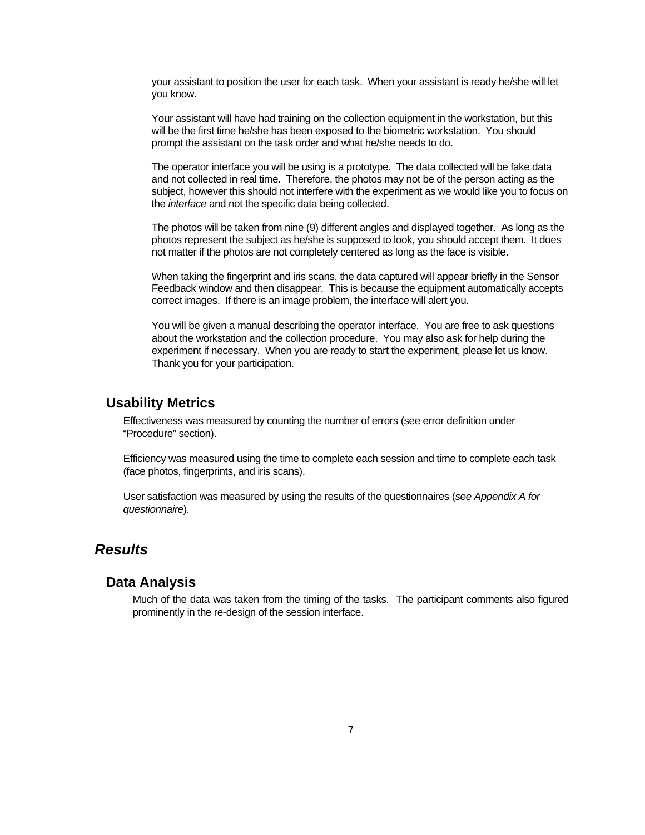your assistant to position the user for each task. When your assistant is ready he/she will let you know.

Your assistant will have had training on the collection equipment in the workstation, but this will be the first time he/she has been exposed to the biometric workstation. You should prompt the assistant on the task order and what he/she needs to do.

The operator interface you will be using is a prototype. The data collected will be fake data and not collected in real time. Therefore, the photos may not be of the person acting as the subject, however this should not interfere with the experiment as we would like you to focus on the *interface* and not the specific data being collected.

The photos will be taken from nine (9) different angles and displayed together. As long as the photos represent the subject as he/she is supposed to look, you should accept them. It does not matter if the photos are not completely centered as long as the face is visible.

When taking the fingerprint and iris scans, the data captured will appear briefly in the Sensor Feedback window and then disappear. This is because the equipment automatically accepts correct images. If there is an image problem, the interface will alert you.

You will be given a manual describing the operator interface. You are free to ask questions about the workstation and the collection procedure. You may also ask for help during the experiment if necessary. When you are ready to start the experiment, please let us know. Thank you for your participation.

#### **Usability Metrics**

Effectiveness was measured by counting the number of errors (see error definition under "Procedure" section).

Efficiency was measured using the time to complete each session and time to complete each task (face photos, fingerprints, and iris scans).

User satisfaction was measured by using the results of the questionnaires (*see Appendix A for questionnaire*).

## *Results*

#### **Data Analysis**

Much of the data was taken from the timing of the tasks. The participant comments also figured prominently in the re-design of the session interface.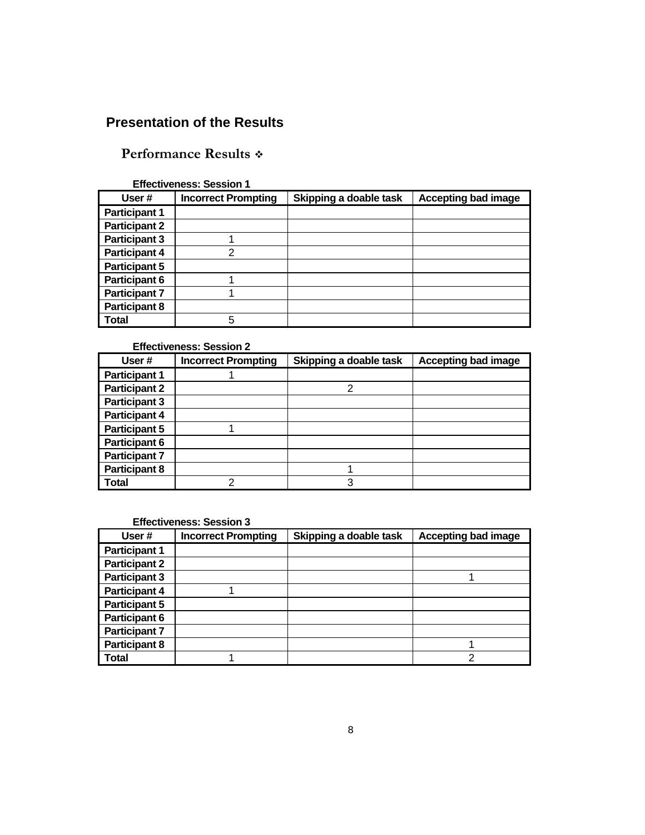# **Presentation of the Results**

# **Performance Results**

#### **Effectiveness: Session 1**

| User#                | <b>Incorrect Prompting</b> | Skipping a doable task | <b>Accepting bad image</b> |
|----------------------|----------------------------|------------------------|----------------------------|
| <b>Participant 1</b> |                            |                        |                            |
| <b>Participant 2</b> |                            |                        |                            |
| <b>Participant 3</b> |                            |                        |                            |
| <b>Participant 4</b> | 2                          |                        |                            |
| <b>Participant 5</b> |                            |                        |                            |
| <b>Participant 6</b> |                            |                        |                            |
| <b>Participant 7</b> |                            |                        |                            |
| <b>Participant 8</b> |                            |                        |                            |
| <b>Total</b>         | 5                          |                        |                            |

#### **Effectiveness: Session 2**

| User#                | <b>Incorrect Prompting</b> | Skipping a doable task | <b>Accepting bad image</b> |
|----------------------|----------------------------|------------------------|----------------------------|
| <b>Participant 1</b> |                            |                        |                            |
| <b>Participant 2</b> |                            | 2                      |                            |
| <b>Participant 3</b> |                            |                        |                            |
| <b>Participant 4</b> |                            |                        |                            |
| <b>Participant 5</b> |                            |                        |                            |
| <b>Participant 6</b> |                            |                        |                            |
| <b>Participant 7</b> |                            |                        |                            |
| <b>Participant 8</b> |                            |                        |                            |
| <b>Total</b>         | ⌒                          | 3                      |                            |

#### **Effectiveness: Session 3**

| User#                | <b>Incorrect Prompting</b> | Skipping a doable task | <b>Accepting bad image</b> |
|----------------------|----------------------------|------------------------|----------------------------|
| <b>Participant 1</b> |                            |                        |                            |
| <b>Participant 2</b> |                            |                        |                            |
| <b>Participant 3</b> |                            |                        |                            |
| <b>Participant 4</b> |                            |                        |                            |
| <b>Participant 5</b> |                            |                        |                            |
| <b>Participant 6</b> |                            |                        |                            |
| <b>Participant 7</b> |                            |                        |                            |
| <b>Participant 8</b> |                            |                        |                            |
| <b>Total</b>         |                            |                        | າ                          |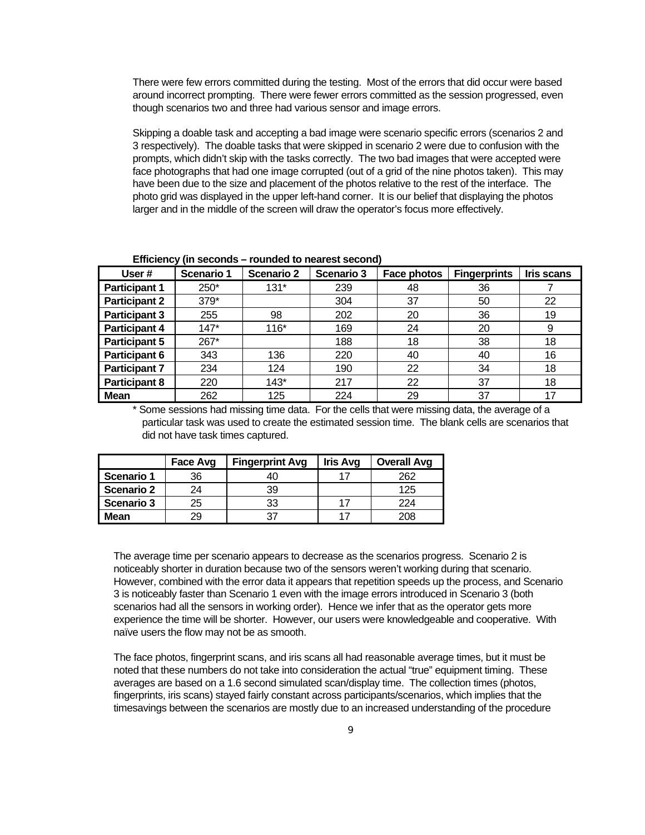There were few errors committed during the testing. Most of the errors that did occur were based around incorrect prompting. There were fewer errors committed as the session progressed, even though scenarios two and three had various sensor and image errors.

Skipping a doable task and accepting a bad image were scenario specific errors (scenarios 2 and 3 respectively). The doable tasks that were skipped in scenario 2 were due to confusion with the prompts, which didn't skip with the tasks correctly. The two bad images that were accepted were face photographs that had one image corrupted (out of a grid of the nine photos taken). This may have been due to the size and placement of the photos relative to the rest of the interface. The photo grid was displayed in the upper left-hand corner. It is our belief that displaying the photos larger and in the middle of the screen will draw the operator's focus more effectively.

| User#                | Scenario 1 | <b>Scenario 2</b> | Scenario 3 | Face photos | <b>Fingerprints</b> | Iris scans |
|----------------------|------------|-------------------|------------|-------------|---------------------|------------|
| <b>Participant 1</b> | 250*       | $131*$            | 239        | 48          | 36                  |            |
| <b>Participant 2</b> | 379*       |                   | 304        | 37          | 50                  | 22         |
| <b>Participant 3</b> | 255        | 98                | 202        | 20          | 36                  | 19         |
| <b>Participant 4</b> | $147*$     | $116*$            | 169        | 24          | 20                  | 9          |
| <b>Participant 5</b> | 267*       |                   | 188        | 18          | 38                  | 18         |
| <b>Participant 6</b> | 343        | 136               | 220        | 40          | 40                  | 16         |
| <b>Participant 7</b> | 234        | 124               | 190        | 22          | 34                  | 18         |
| <b>Participant 8</b> | 220        | $143*$            | 217        | 22          | 37                  | 18         |
| <b>Mean</b>          | 262        | 125               | 224        | 29          | 37                  | 17         |

**Efficiency (in seconds – rounded to nearest second)** 

\* Some sessions had missing time data. For the cells that were missing data, the average of a particular task was used to create the estimated session time. The blank cells are scenarios that did not have task times captured.

|                   | <b>Fingerprint Avg</b><br>Face Avg |    | <b>Iris Avg</b> | <b>Overall Avg</b> |
|-------------------|------------------------------------|----|-----------------|--------------------|
| Scenario 1        | 36                                 | 40 |                 | 262                |
| Scenario 2        | 74                                 | 39 |                 | 125                |
| <b>Scenario 3</b> | 25                                 | 33 |                 | 224                |
| <b>Mean</b>       | 29                                 |    |                 | 208                |

The average time per scenario appears to decrease as the scenarios progress. Scenario 2 is noticeably shorter in duration because two of the sensors weren't working during that scenario. However, combined with the error data it appears that repetition speeds up the process, and Scenario 3 is noticeably faster than Scenario 1 even with the image errors introduced in Scenario 3 (both scenarios had all the sensors in working order). Hence we infer that as the operator gets more experience the time will be shorter. However, our users were knowledgeable and cooperative. With naïve users the flow may not be as smooth.

The face photos, fingerprint scans, and iris scans all had reasonable average times, but it must be noted that these numbers do not take into consideration the actual "true" equipment timing. These averages are based on a 1.6 second simulated scan/display time. The collection times (photos, fingerprints, iris scans) stayed fairly constant across participants/scenarios, which implies that the timesavings between the scenarios are mostly due to an increased understanding of the procedure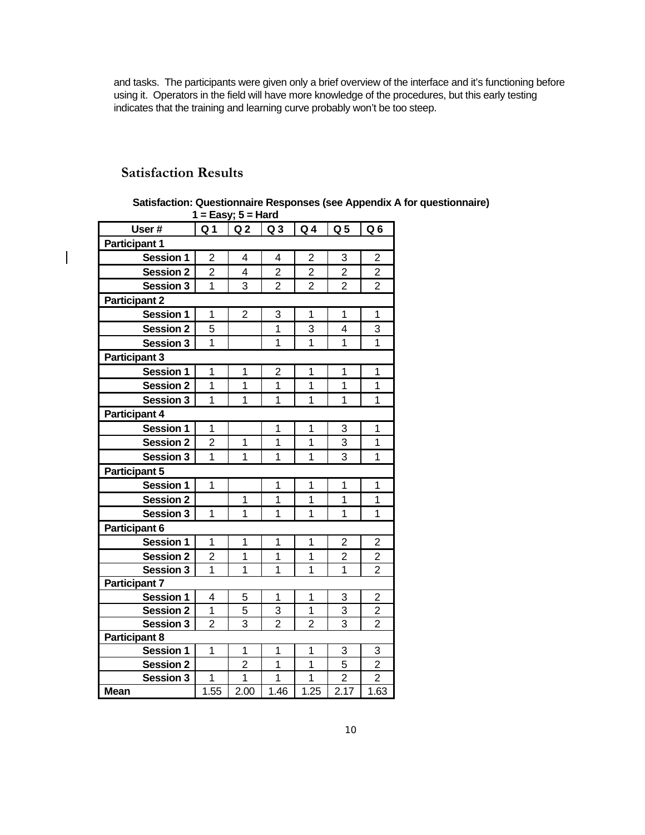and tasks. The participants were given only a brief overview of the interface and it's functioning before using it. Operators in the field will have more knowledge of the procedures, but this early testing indicates that the training and learning curve probably won't be too steep.

# **Satisfaction Results**

 $\overline{\phantom{a}}$ 

| Satisfaction: Questionnaire Responses (see Appendix A for questionnaire) |  |
|--------------------------------------------------------------------------|--|
| 1 = Easy; $5$ = Hard                                                     |  |

| User#                | Q <sub>1</sub>          | Q <sub>2</sub> | Q <sub>3</sub> | Q <sub>4</sub> | Q <sub>5</sub> | Q <sub>6</sub> |  |  |
|----------------------|-------------------------|----------------|----------------|----------------|----------------|----------------|--|--|
| <b>Participant 1</b> |                         |                |                |                |                |                |  |  |
| <b>Session 1</b>     | $\overline{2}$          | 4              | 4              | $\overline{2}$ | 3              | 2              |  |  |
| <b>Session 2</b>     | $\overline{2}$          | 4              | $\overline{2}$ | $\overline{2}$ | $\overline{2}$ | $\overline{2}$ |  |  |
| <b>Session 3</b>     | 1                       | 3              | $\overline{2}$ | $\overline{2}$ | $\overline{2}$ | $\overline{2}$ |  |  |
| <b>Participant 2</b> |                         |                |                |                |                |                |  |  |
| <b>Session 1</b>     | 1                       | $\overline{2}$ | 3              | $\overline{1}$ | 1              | 1              |  |  |
| <b>Session 2</b>     | 5                       |                | $\overline{1}$ | 3              | 4              | 3              |  |  |
| <b>Session 3</b>     | 1                       |                | 1              | 1              | 1              | $\overline{1}$ |  |  |
| <b>Participant 3</b> |                         |                |                |                |                |                |  |  |
| <b>Session 1</b>     | 1                       | 1              | $\overline{2}$ | 1              | 1              | 1              |  |  |
| <b>Session 2</b>     | 1                       | 1              | $\overline{1}$ | $\overline{1}$ | $\overline{1}$ | $\overline{1}$ |  |  |
| <b>Session 3</b>     | 1                       | 1              | 1              | 1              | 1              | 1              |  |  |
| <b>Participant 4</b> |                         |                |                |                |                |                |  |  |
| Session 1            | 1                       |                | 1              | 1              | 3              | 1              |  |  |
| <b>Session 2</b>     | $\overline{c}$          | 1              | 1              | 1              | 3              | 1              |  |  |
| <b>Session 3</b>     | $\overline{1}$          | $\overline{1}$ | $\overline{1}$ | $\overline{1}$ | $\overline{3}$ | $\overline{1}$ |  |  |
| <b>Participant 5</b> |                         |                |                |                |                |                |  |  |
| <b>Session 1</b>     | 1                       |                | 1              | 1              | 1              | 1              |  |  |
| <b>Session 2</b>     |                         | 1              | 1              | 1              | 1              | 1              |  |  |
| <b>Session 3</b>     | $\mathbf{1}$            | 1              | $\overline{1}$ | $\overline{1}$ | $\overline{1}$ | $\overline{1}$ |  |  |
| <b>Participant 6</b> |                         |                |                |                |                |                |  |  |
| <b>Session 1</b>     | 1                       | 1              | 1              | 1              | $\overline{2}$ | $\overline{c}$ |  |  |
| <b>Session 2</b>     | $\overline{\mathbf{c}}$ | 1              | 1              | 1              | $\overline{2}$ | $\overline{2}$ |  |  |
| <b>Session 3</b>     | $\overline{1}$          | 1              | $\overline{1}$ | 1              | $\overline{1}$ | $\overline{2}$ |  |  |
| <b>Participant 7</b> |                         |                |                |                |                |                |  |  |
| <b>Session 1</b>     | 4                       | 5              | 1              | 1              | 3              | $\overline{c}$ |  |  |
| <b>Session 2</b>     | 1                       | 5              | 3              | 1              | 3              | $\frac{2}{2}$  |  |  |
| <b>Session 3</b>     | $\overline{2}$          | $\overline{3}$ | $\overline{2}$ | $\overline{2}$ | $\overline{3}$ |                |  |  |
| Participant 8        |                         |                |                |                |                |                |  |  |
| <b>Session 1</b>     | 1                       | 1              | 1              | 1              | 3              | 3              |  |  |
| <b>Session 2</b>     |                         | $\overline{2}$ | $\overline{1}$ | 1              | 5              | $\overline{2}$ |  |  |
| <b>Session 3</b>     | 1                       | $\overline{1}$ | 1              | 1              | $\overline{2}$ | $\overline{2}$ |  |  |
| <b>Mean</b>          | $\overline{1.55}$       | 2.00           | 1.46           | 1.25           | 2.17           | 1.63           |  |  |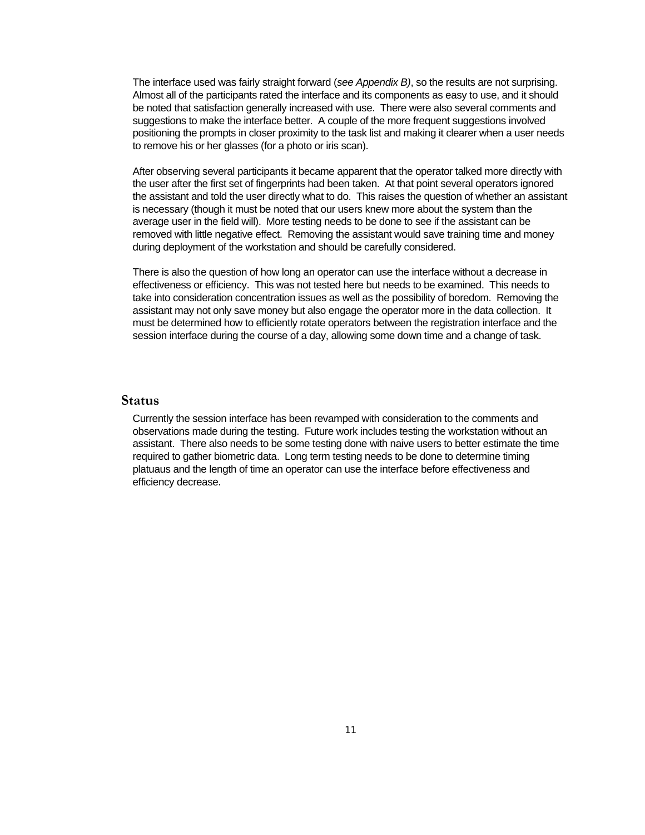The interface used was fairly straight forward (*see Appendix B)*, so the results are not surprising. Almost all of the participants rated the interface and its components as easy to use, and it should be noted that satisfaction generally increased with use. There were also several comments and suggestions to make the interface better. A couple of the more frequent suggestions involved positioning the prompts in closer proximity to the task list and making it clearer when a user needs to remove his or her glasses (for a photo or iris scan).

After observing several participants it became apparent that the operator talked more directly with the user after the first set of fingerprints had been taken. At that point several operators ignored the assistant and told the user directly what to do. This raises the question of whether an assistant is necessary (though it must be noted that our users knew more about the system than the average user in the field will). More testing needs to be done to see if the assistant can be removed with little negative effect. Removing the assistant would save training time and money during deployment of the workstation and should be carefully considered.

There is also the question of how long an operator can use the interface without a decrease in effectiveness or efficiency. This was not tested here but needs to be examined. This needs to take into consideration concentration issues as well as the possibility of boredom. Removing the assistant may not only save money but also engage the operator more in the data collection. It must be determined how to efficiently rotate operators between the registration interface and the session interface during the course of a day, allowing some down time and a change of task.

#### **Status**

Currently the session interface has been revamped with consideration to the comments and observations made during the testing. Future work includes testing the workstation without an assistant. There also needs to be some testing done with naive users to better estimate the time required to gather biometric data. Long term testing needs to be done to determine timing platuaus and the length of time an operator can use the interface before effectiveness and efficiency decrease.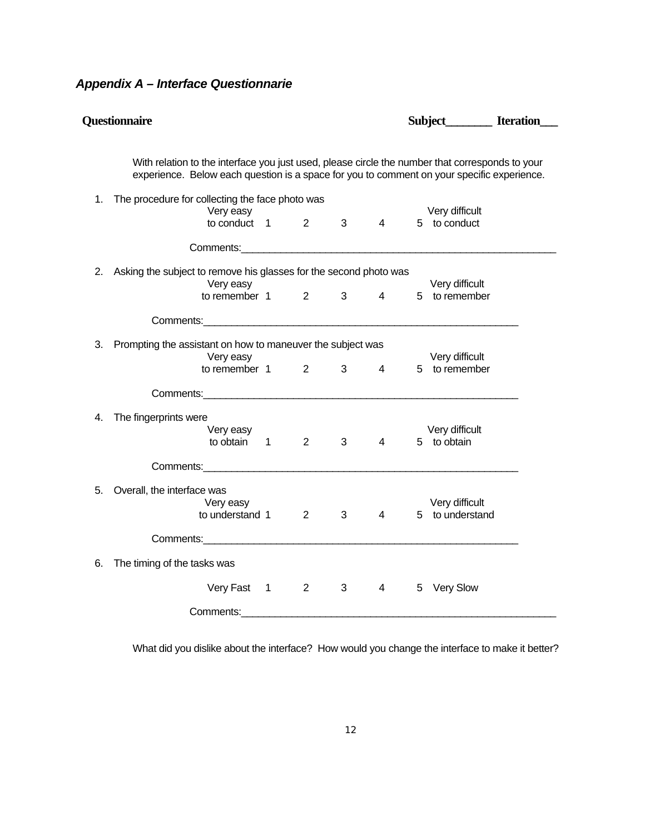# *Appendix A – Interface Questionnarie*

|    | <b>Questionnaire</b>                                                                                                                                                                                                           |                        |             |                 |   | Subject Iteration                 |
|----|--------------------------------------------------------------------------------------------------------------------------------------------------------------------------------------------------------------------------------|------------------------|-------------|-----------------|---|-----------------------------------|
|    | With relation to the interface you just used, please circle the number that corresponds to your<br>experience. Below each question is a space for you to comment on your specific experience.                                  |                        |             |                 |   |                                   |
| 1. | The procedure for collecting the face photo was<br>Very easy<br>to conduct $1$ 2                                                                                                                                               |                        | $3^{\circ}$ | $\overline{4}$  |   | Very difficult<br>5 to conduct    |
|    |                                                                                                                                                                                                                                |                        |             |                 |   |                                   |
| 2. | Asking the subject to remove his glasses for the second photo was<br>Very easy<br>to remember 1 2                                                                                                                              |                        |             | $3 \t 4$        |   | Very difficult<br>5 to remember   |
|    | Comments: comments: comments: comments: comments: comments: comments: comments: comments: comments: comments: comments: comments: comments: comments: comments: comments: comments: comments: comments: comments: comments: co |                        |             |                 |   |                                   |
| 3. | Prompting the assistant on how to maneuver the subject was<br>Very easy<br>to remember 1                                                                                                                                       | $2^{\sim}$             |             | $3 \t 4$        |   | Very difficult<br>5 to remember   |
|    |                                                                                                                                                                                                                                |                        |             |                 |   |                                   |
| 4. | The fingerprints were<br>Very easy<br>to obtain 1                                                                                                                                                                              | $2^{\circ}$            | $3^{\circ}$ | $4 \quad$       |   | Very difficult<br>5 to obtain     |
|    |                                                                                                                                                                                                                                |                        |             |                 |   |                                   |
| 5. | Overall, the interface was<br>Very easy<br>to understand 1                                                                                                                                                                     | 2                      | 3           | $\overline{4}$  |   | Very difficult<br>5 to understand |
|    |                                                                                                                                                                                                                                |                        |             |                 |   |                                   |
| 6. | The timing of the tasks was                                                                                                                                                                                                    |                        |             |                 |   |                                   |
|    | Very Fast 1                                                                                                                                                                                                                    | $2 \quad \blacksquare$ | $3^{\circ}$ | $4\overline{ }$ | 5 | <b>Very Slow</b>                  |
|    | Comments: the contract of the contract of the contract of the contract of the contract of the contract of the contract of the contract of the contract of the contract of the contract of the contract of the contract of the  |                        |             |                 |   |                                   |

What did you dislike about the interface? How would you change the interface to make it better?